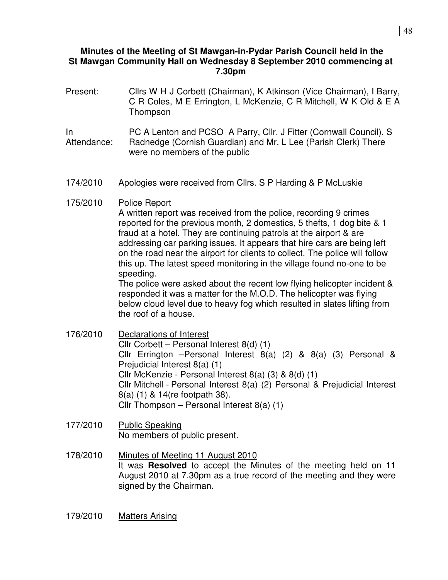### **Minutes of the Meeting of St Mawgan-in-Pydar Parish Council held in the St Mawgan Community Hall on Wednesday 8 September 2010 commencing at 7.30pm**

- Present: Cllrs W H J Corbett (Chairman), K Atkinson (Vice Chairman), I Barry, C R Coles, M E Errington, L McKenzie, C R Mitchell, W K Old & E A Thompson
- In Attendance: PC A Lenton and PCSO A Parry, Cllr. J Fitter (Cornwall Council), S Radnedge (Cornish Guardian) and Mr. L Lee (Parish Clerk) There were no members of the public
- 174/2010 Apologies were received from Cllrs. S P Harding & P McLuskie
- 175/2010 Police Report

A written report was received from the police, recording 9 crimes reported for the previous month, 2 domestics, 5 thefts, 1 dog bite & 1 fraud at a hotel. They are continuing patrols at the airport & are addressing car parking issues. It appears that hire cars are being left on the road near the airport for clients to collect. The police will follow this up. The latest speed monitoring in the village found no-one to be speeding.

The police were asked about the recent low flying helicopter incident & responded it was a matter for the M.O.D. The helicopter was flying below cloud level due to heavy fog which resulted in slates lifting from the roof of a house.

- 176/2010 Declarations of Interest Cllr Corbett – Personal Interest 8(d) (1) Cllr Errington –Personal Interest 8(a) (2) & 8(a) (3) Personal & Prejudicial Interest 8(a) (1) Cllr McKenzie - Personal Interest 8(a) (3) & 8(d) (1) Cllr Mitchell - Personal Interest 8(a) (2) Personal & Prejudicial Interest 8(a) (1) & 14(re footpath 38). Cllr Thompson – Personal Interest  $8(a)$  (1)
- 177/2010 Public Speaking No members of public present.
- 178/2010 Minutes of Meeting 11 August 2010 It was **Resolved** to accept the Minutes of the meeting held on 11 August 2010 at 7.30pm as a true record of the meeting and they were signed by the Chairman.
- 179/2010 Matters Arising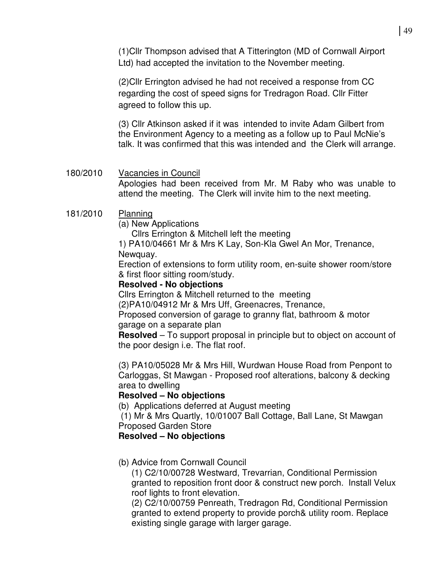(1)Cllr Thompson advised that A Titterington (MD of Cornwall Airport Ltd) had accepted the invitation to the November meeting.

(2)Cllr Errington advised he had not received a response from CC regarding the cost of speed signs for Tredragon Road. Cllr Fitter agreed to follow this up.

(3) Cllr Atkinson asked if it was intended to invite Adam Gilbert from the Environment Agency to a meeting as a follow up to Paul McNie's talk. It was confirmed that this was intended and the Clerk will arrange.

180/2010 Vacancies in Council Apologies had been received from Mr. M Raby who was unable to attend the meeting. The Clerk will invite him to the next meeting.

# 181/2010 Planning

(a) New Applications

Cllrs Errington & Mitchell left the meeting

1) PA10/04661 Mr & Mrs K Lay, Son-Kla Gwel An Mor, Trenance, Newquay.

Erection of extensions to form utility room, en-suite shower room/store & first floor sitting room/study.

#### **Resolved - No objections**

Cllrs Errington & Mitchell returned to the meeting

(2)PA10/04912 Mr & Mrs Uff, Greenacres, Trenance,

Proposed conversion of garage to granny flat, bathroom & motor garage on a separate plan

**Resolved** – To support proposal in principle but to object on account of the poor design i.e. The flat roof.

(3) PA10/05028 Mr & Mrs Hill, Wurdwan House Road from Penpont to Carloggas, St Mawgan - Proposed roof alterations, balcony & decking area to dwelling

### **Resolved – No objections**

(b) Applications deferred at August meeting

 (1) Mr & Mrs Quartly, 10/01007 Ball Cottage, Ball Lane, St Mawgan Proposed Garden Store

### **Resolved – No objections**

(b) Advice from Cornwall Council

(1) C2/10/00728 Westward, Trevarrian, Conditional Permission granted to reposition front door & construct new porch. Install Velux roof lights to front elevation.

(2) C2/10/00759 Penreath, Tredragon Rd, Conditional Permission granted to extend property to provide porch& utility room. Replace existing single garage with larger garage.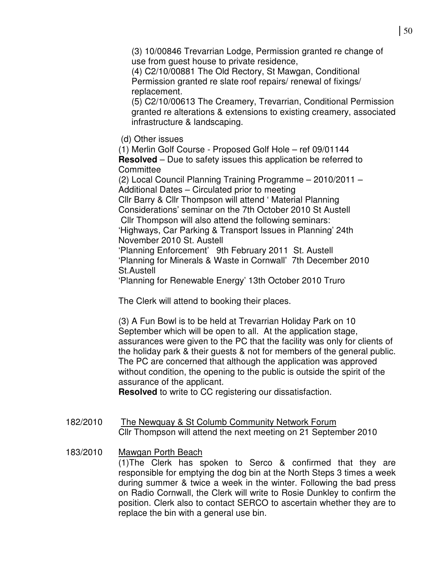(3) 10/00846 Trevarrian Lodge, Permission granted re change of use from guest house to private residence,

(4) C2/10/00881 The Old Rectory, St Mawgan, Conditional Permission granted re slate roof repairs/ renewal of fixings/ replacement.

(5) C2/10/00613 The Creamery, Trevarrian, Conditional Permission granted re alterations & extensions to existing creamery, associated infrastructure & landscaping.

(d) Other issues

(1) Merlin Golf Course - Proposed Golf Hole – ref 09/01144 **Resolved** – Due to safety issues this application be referred to **Committee** 

(2) Local Council Planning Training Programme – 2010/2011 – Additional Dates – Circulated prior to meeting

Cllr Barry & Cllr Thompson will attend ' Material Planning Considerations' seminar on the 7th October 2010 St Austell Cllr Thompson will also attend the following seminars:

'Highways, Car Parking & Transport Issues in Planning' 24th November 2010 St. Austell

'Planning Enforcement' 9th February 2011 St. Austell 'Planning for Minerals & Waste in Cornwall' 7th December 2010 St.Austell

'Planning for Renewable Energy' 13th October 2010 Truro

The Clerk will attend to booking their places.

(3) A Fun Bowl is to be held at Trevarrian Holiday Park on 10 September which will be open to all. At the application stage, assurances were given to the PC that the facility was only for clients of the holiday park & their guests & not for members of the general public. The PC are concerned that although the application was approved without condition, the opening to the public is outside the spirit of the assurance of the applicant.

**Resolved** to write to CC registering our dissatisfaction.

182/2010 The Newquay & St Columb Community Network Forum Cllr Thompson will attend the next meeting on 21 September 2010

183/2010 Mawgan Porth Beach (1)The Clerk has spoken to Serco & confirmed that they are responsible for emptying the dog bin at the North Steps 3 times a week during summer & twice a week in the winter. Following the bad press on Radio Cornwall, the Clerk will write to Rosie Dunkley to confirm the position. Clerk also to contact SERCO to ascertain whether they are to replace the bin with a general use bin.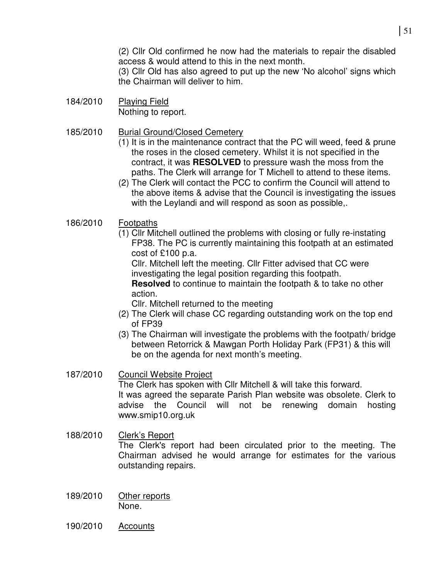(2) Cllr Old confirmed he now had the materials to repair the disabled access & would attend to this in the next month.

(3) Cllr Old has also agreed to put up the new 'No alcohol' signs which the Chairman will deliver to him.

- 184/2010 Playing Field Nothing to report.
- 185/2010 Burial Ground/Closed Cemetery
	- (1) It is in the maintenance contract that the PC will weed, feed & prune the roses in the closed cemetery. Whilst it is not specified in the contract, it was **RESOLVED** to pressure wash the moss from the paths. The Clerk will arrange for T Michell to attend to these items.
	- (2) The Clerk will contact the PCC to confirm the Council will attend to the above items & advise that the Council is investigating the issues with the Leylandi and will respond as soon as possible,.

# 186/2010 Footpaths

(1) Cllr Mitchell outlined the problems with closing or fully re-instating FP38. The PC is currently maintaining this footpath at an estimated cost of £100 p.a.

Cllr. Mitchell left the meeting. Cllr Fitter advised that CC were investigating the legal position regarding this footpath.

**Resolved** to continue to maintain the footpath & to take no other action.

Cllr. Mitchell returned to the meeting

- (2) The Clerk will chase CC regarding outstanding work on the top end of FP39
- (3) The Chairman will investigate the problems with the footpath/ bridge between Retorrick & Mawgan Porth Holiday Park (FP31) & this will be on the agenda for next month's meeting.
- 187/2010 Council Website Project The Clerk has spoken with Cllr Mitchell & will take this forward. It was agreed the separate Parish Plan website was obsolete. Clerk to advise the Council will not be renewing domain hosting www.smip10.org.uk
- 188/2010 Clerk's Report The Clerk's report had been circulated prior to the meeting. The Chairman advised he would arrange for estimates for the various outstanding repairs.
- 189/2010 Other reports None.
- 190/2010 Accounts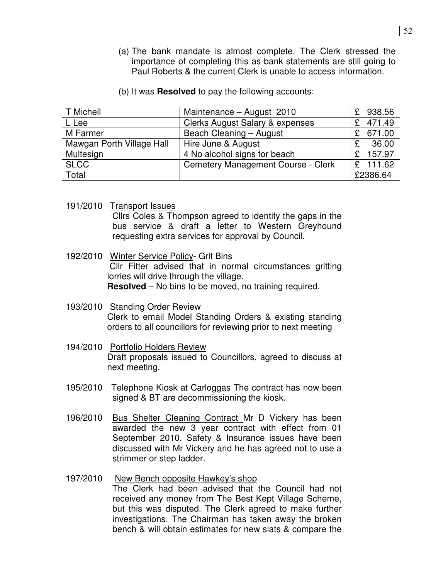- (a) The bank mandate is almost complete. The Clerk stressed the importance of completing this as bank statements are still going to Paul Roberts & the current Clerk is unable to access information.
- (b) It was **Resolved** to pay the following accounts:

| T Michell                 | Maintenance - August 2010                  | £ 938.56    |
|---------------------------|--------------------------------------------|-------------|
| L Lee                     | <b>Clerks August Salary &amp; expenses</b> | £ 471.49    |
| M Farmer                  | Beach Cleaning - August                    | £ 671.00    |
| Mawgan Porth Village Hall | Hire June & August                         | 36.00<br>£  |
| Multesign                 | 4 No alcohol signs for beach               | 157.97<br>£ |
| <b>SLCC</b>               | <b>Cemetery Management Course - Clerk</b>  | £ 111.62    |
| Total                     |                                            | £2386.64    |

- 191/2010 Transport Issues Cllrs Coles & Thompson agreed to identify the gaps in the bus service & draft a letter to Western Greyhound requesting extra services for approval by Council.
- 192/2010 Winter Service Policy- Grit Bins Cllr Fitter advised that in normal circumstances gritting lorries will drive through the village. **Resolved** – No bins to be moved, no training required.
- 193/2010 Standing Order Review Clerk to email Model Standing Orders & existing standing orders to all councillors for reviewing prior to next meeting
- 194/2010 Portfolio Holders Review Draft proposals issued to Councillors, agreed to discuss at next meeting.
- 195/2010 Telephone Kiosk at Carloggas The contract has now been signed & BT are decommissioning the kiosk.
- 196/2010 Bus Shelter Cleaning Contract Mr D Vickery has been awarded the new 3 year contract with effect from 01 September 2010. Safety & Insurance issues have been discussed with Mr Vickery and he has agreed not to use a strimmer or step ladder.
- 197/2010 New Bench opposite Hawkey's shop The Clerk had been advised that the Council had not received any money from The Best Kept Village Scheme, but this was disputed. The Clerk agreed to make further investigations. The Chairman has taken away the broken bench & will obtain estimates for new slats & compare the